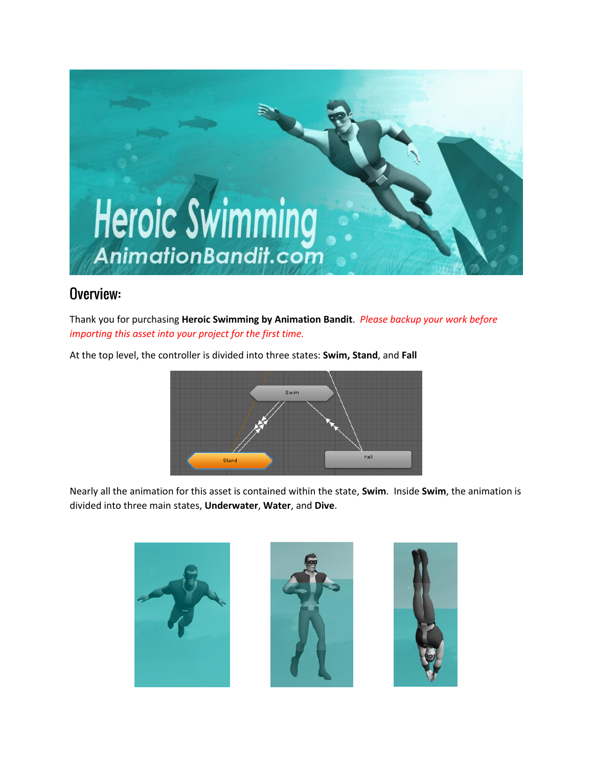

# Overview:

Thank you for purchasing **Heroic Swimming by Animation Bandit**. *Please backup your work before importing this asset into your project for the first time.*

At the top level, the controller is divided into three states: **Swim, Stand**, and **Fall**



Nearly all the animation for this asset is contained within the state, **Swim**. Inside **Swim**, the animation is divided into three main states, **Underwater**, **Water**, and **Dive**.

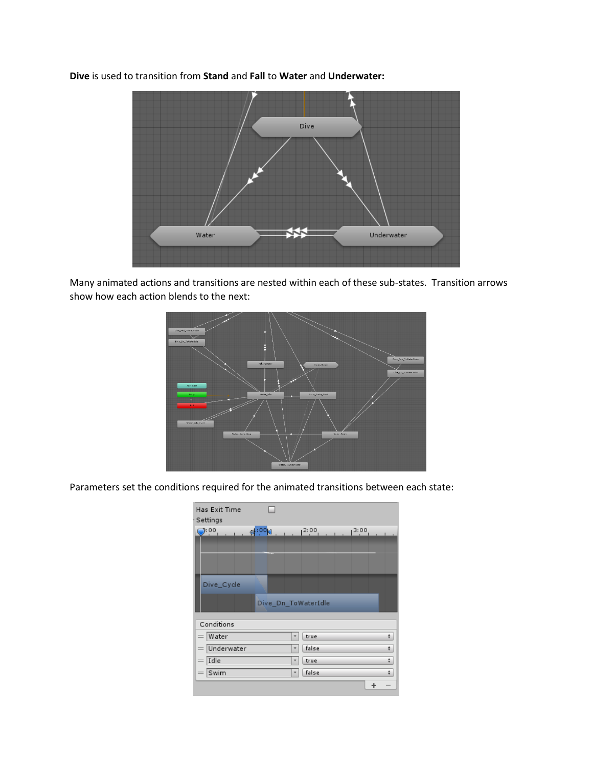**Dive** is used to transition from **Stand** and **Fall** to **Water** and **Underwater:**



Many animated actions and transitions are nested within each of these sub-states. Transition arrows show how each action blends to the next:



Parameters set the conditions required for the animated transitions between each state:

| <b>Has Exit Time</b><br>Settings |                     |                          |  |  |  |
|----------------------------------|---------------------|--------------------------|--|--|--|
|                                  |                     |                          |  |  |  |
| Dive Cycle                       | Dive_Dn_ToWaterIdle |                          |  |  |  |
| Conditions                       |                     |                          |  |  |  |
| Water                            | true<br>٠           | ÷                        |  |  |  |
| Underwater                       | false               | ÷                        |  |  |  |
| Idle                             | true<br>٠           | ÷                        |  |  |  |
| Swim<br>$=$                      | false<br>٠          | ÷                        |  |  |  |
|                                  |                     | $\overline{\phantom{a}}$ |  |  |  |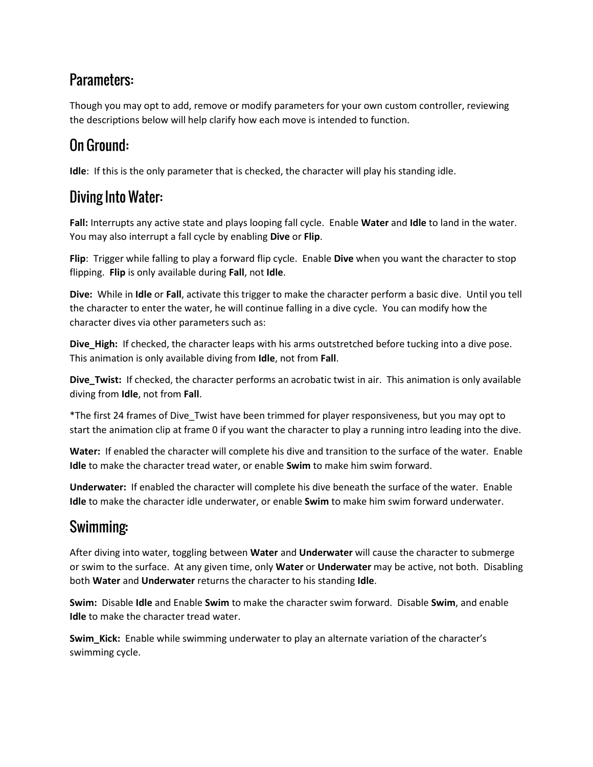# Parameters:

Though you may opt to add, remove or modify parameters for your own custom controller, reviewing the descriptions below will help clarify how each move is intended to function.

# On Ground:

**Idle**: If this is the only parameter that is checked, the character will play his standing idle.

# **Diving Into Water:**

**Fall:** Interrupts any active state and plays looping fall cycle. Enable **Water** and **Idle** to land in the water. You may also interrupt a fall cycle by enabling **Dive** or **Flip**.

**Flip**: Trigger while falling to play a forward flip cycle. Enable **Dive** when you want the character to stop flipping. **Flip** is only available during **Fall**, not **Idle**.

**Dive:** While in **Idle** or **Fall**, activate this trigger to make the character perform a basic dive. Until you tell the character to enter the water, he will continue falling in a dive cycle. You can modify how the character dives via other parameters such as:

**Dive\_High:** If checked, the character leaps with his arms outstretched before tucking into a dive pose. This animation is only available diving from **Idle**, not from **Fall**.

**Dive\_Twist:** If checked, the character performs an acrobatic twist in air. This animation is only available diving from **Idle**, not from **Fall**.

\*The first 24 frames of Dive\_Twist have been trimmed for player responsiveness, but you may opt to start the animation clip at frame 0 if you want the character to play a running intro leading into the dive.

**Water:** If enabled the character will complete his dive and transition to the surface of the water. Enable **Idle** to make the character tread water, or enable **Swim** to make him swim forward.

**Underwater:** If enabled the character will complete his dive beneath the surface of the water. Enable **Idle** to make the character idle underwater, or enable **Swim** to make him swim forward underwater.

# Swimming:

After diving into water, toggling between **Water** and **Underwater** will cause the character to submerge or swim to the surface. At any given time, only **Water** or **Underwater** may be active, not both. Disabling both **Water** and **Underwater** returns the character to his standing **Idle**.

**Swim:** Disable **Idle** and Enable **Swim** to make the character swim forward. Disable **Swim**, and enable **Idle** to make the character tread water.

**Swim\_Kick:** Enable while swimming underwater to play an alternate variation of the character's swimming cycle.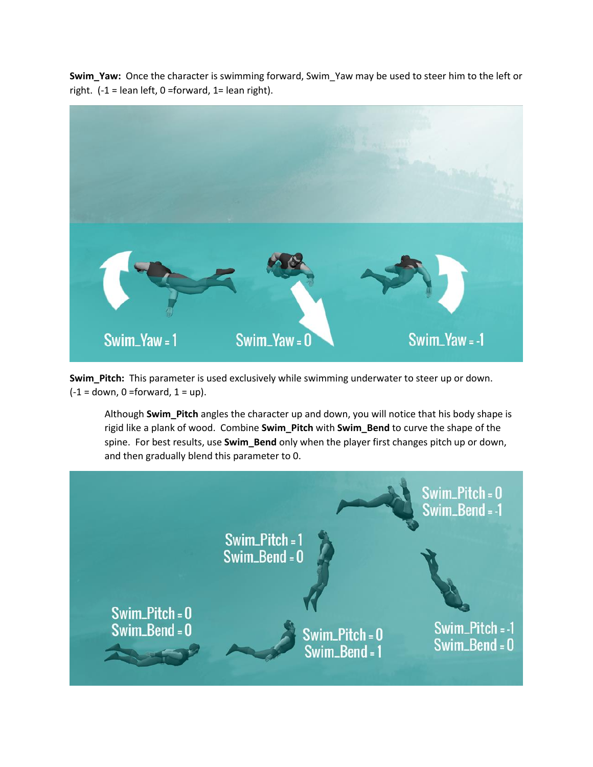**Swim\_Yaw:** Once the character is swimming forward, Swim\_Yaw may be used to steer him to the left or right.  $(-1 = len left, 0 = forward, 1 = lean right).$ 



**Swim\_Pitch:** This parameter is used exclusively while swimming underwater to steer up or down.  $(-1 =$  down, 0 = forward,  $1 =$  up).

Although **Swim\_Pitch** angles the character up and down, you will notice that his body shape is rigid like a plank of wood. Combine **Swim\_Pitch** with **Swim\_Bend** to curve the shape of the spine. For best results, use **Swim\_Bend** only when the player first changes pitch up or down, and then gradually blend this parameter to 0.

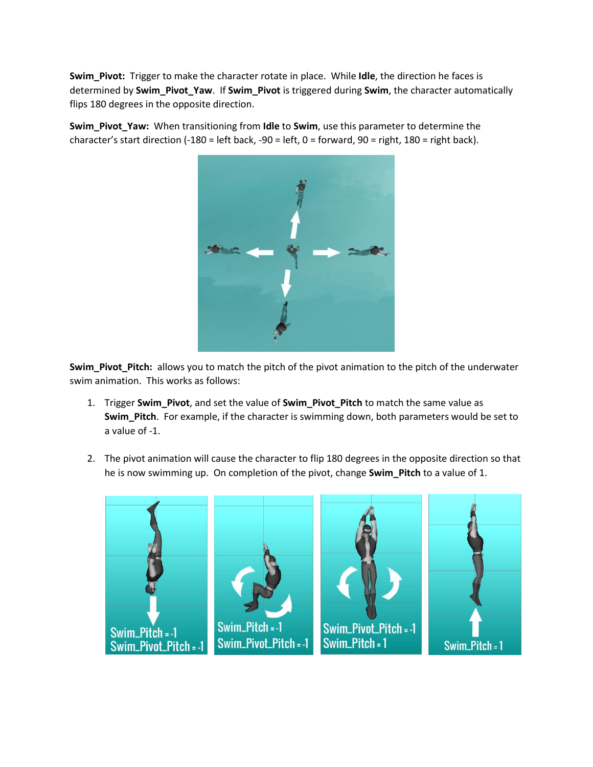**Swim\_Pivot:** Trigger to make the character rotate in place. While **Idle**, the direction he faces is determined by **Swim\_Pivot\_Yaw**. If **Swim\_Pivot** is triggered during **Swim**, the character automatically flips 180 degrees in the opposite direction.

**Swim\_Pivot\_Yaw:** When transitioning from **Idle** to **Swim**, use this parameter to determine the character's start direction (-180 = left back, -90 = left, 0 = forward, 90 = right, 180 = right back).



**Swim\_Pivot\_Pitch:** allows you to match the pitch of the pivot animation to the pitch of the underwater swim animation. This works as follows:

- 1. Trigger **Swim\_Pivot**, and set the value of **Swim\_Pivot\_Pitch** to match the same value as **Swim\_Pitch**. For example, if the character is swimming down, both parameters would be set to a value of -1.
- 2. The pivot animation will cause the character to flip 180 degrees in the opposite direction so that he is now swimming up. On completion of the pivot, change **Swim\_Pitch** to a value of 1.

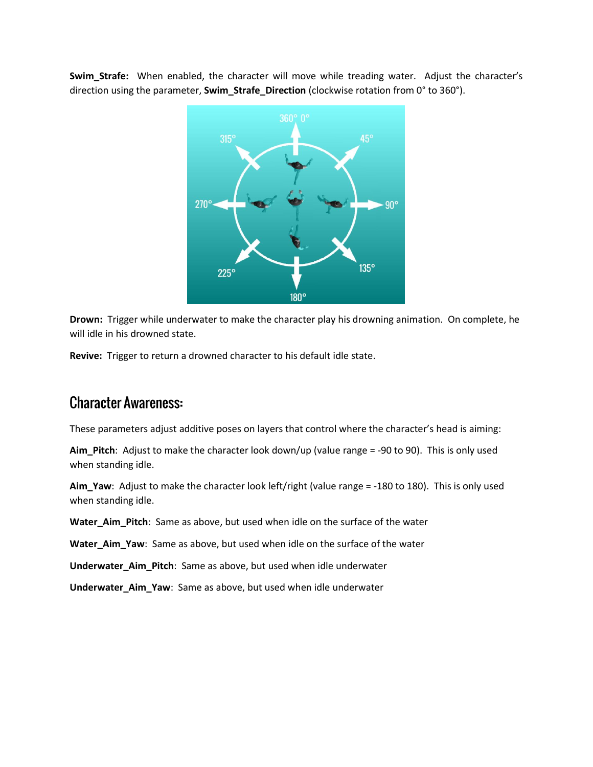Swim Strafe: When enabled, the character will move while treading water. Adjust the character's direction using the parameter, **Swim\_Strafe\_Direction** (clockwise rotation from 0° to 360°).



**Drown:** Trigger while underwater to make the character play his drowning animation. On complete, he will idle in his drowned state.

**Revive:** Trigger to return a drowned character to his default idle state.

## **Character Awareness:**

These parameters adjust additive poses on layers that control where the character's head is aiming:

**Aim\_Pitch**: Adjust to make the character look down/up (value range = -90 to 90). This is only used when standing idle.

**Aim\_Yaw**: Adjust to make the character look left/right (value range = -180 to 180). This is only used when standing idle.

**Water\_Aim\_Pitch**: Same as above, but used when idle on the surface of the water

**Water\_Aim\_Yaw**: Same as above, but used when idle on the surface of the water

**Underwater\_Aim\_Pitch**: Same as above, but used when idle underwater

**Underwater\_Aim\_Yaw**: Same as above, but used when idle underwater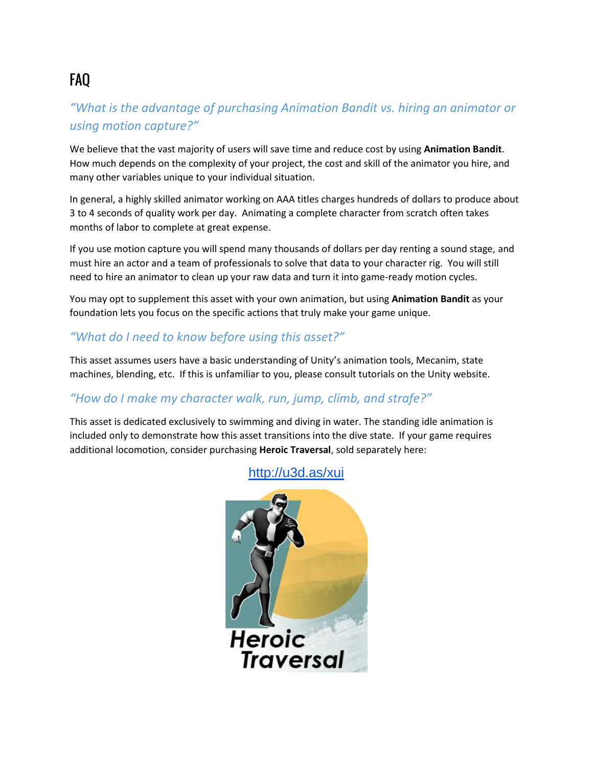# **FAO**

### *"What is the advantage of purchasing Animation Bandit vs. hiring an animator or using motion capture?"*

We believe that the vast majority of users will save time and reduce cost by using **Animation Bandit**. How much depends on the complexity of your project, the cost and skill of the animator you hire, and many other variables unique to your individual situation.

In general, a highly skilled animator working on AAA titles charges hundreds of dollars to produce about 3 to 4 seconds of quality work per day. Animating a complete character from scratch often takes months of labor to complete at great expense.

If you use motion capture you will spend many thousands of dollars per day renting a sound stage, and must hire an actor and a team of professionals to solve that data to your character rig. You will still need to hire an animator to clean up your raw data and turn it into game-ready motion cycles.

You may opt to supplement this asset with your own animation, but using **Animation Bandit** as your foundation lets you focus on the specific actions that truly make your game unique.

#### *"What do I need to know before using this asset?"*

This asset assumes users have a basic understanding of Unity's animation tools, Mecanim, state machines, blending, etc. If this is unfamiliar to you, please consult tutorials on the Unity website.

### *"How do I make my character walk, run, jump, climb, and strafe?"*

This asset is dedicated exclusively to swimming and diving in water. The standing idle animation is included only to demonstrate how this asset transitions into the dive state. If your game requires additional locomotion, consider purchasing **Heroic Traversal**, sold separately here:



<http://u3d.as/xui>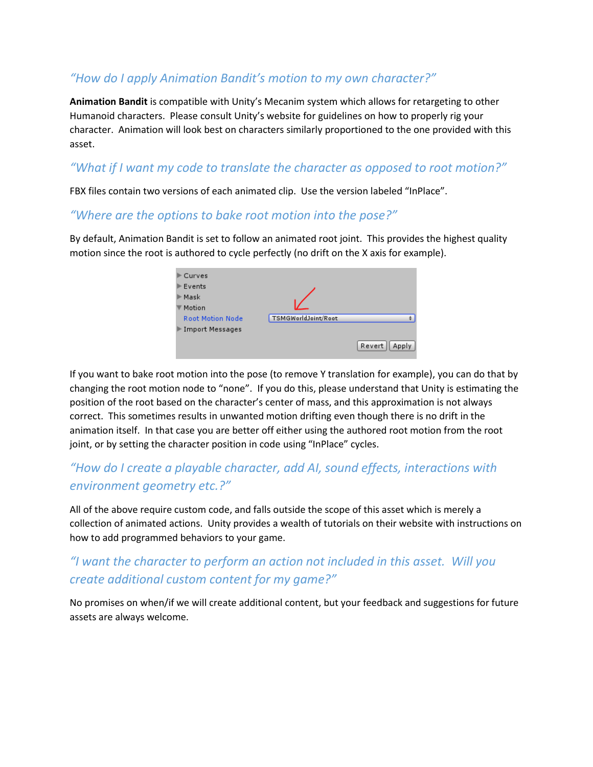#### *"How do I apply Animation Bandit's motion to my own character?"*

**Animation Bandit** is compatible with Unity's Mecanim system which allows for retargeting to other Humanoid characters. Please consult Unity's website for guidelines on how to properly rig your character. Animation will look best on characters similarly proportioned to the one provided with this asset.

#### *"What if I want my code to translate the character as opposed to root motion?"*

FBX files contain two versions of each animated clip. Use the version labeled "InPlace".

#### *"Where are the options to bake root motion into the pose?"*

By default, Animation Bandit is set to follow an animated root joint. This provides the highest quality motion since the root is authored to cycle perfectly (no drift on the X axis for example).

| Curves                  |                     |        |
|-------------------------|---------------------|--------|
| Events                  |                     |        |
| Mask                    |                     |        |
| Motion                  |                     |        |
| <b>Root Motion Node</b> | TSMGWorldJoint/Root |        |
| Import Messages         |                     |        |
|                         |                     | Revert |

If you want to bake root motion into the pose (to remove Y translation for example), you can do that by changing the root motion node to "none". If you do this, please understand that Unity is estimating the position of the root based on the character's center of mass, and this approximation is not always correct. This sometimes results in unwanted motion drifting even though there is no drift in the animation itself. In that case you are better off either using the authored root motion from the root joint, or by setting the character position in code using "InPlace" cycles.

### *"How do I create a playable character, add AI, sound effects, interactions with environment geometry etc.?"*

All of the above require custom code, and falls outside the scope of this asset which is merely a collection of animated actions. Unity provides a wealth of tutorials on their website with instructions on how to add programmed behaviors to your game.

## *"I want the character to perform an action not included in this asset. Will you create additional custom content for my game?"*

No promises on when/if we will create additional content, but your feedback and suggestions for future assets are always welcome.